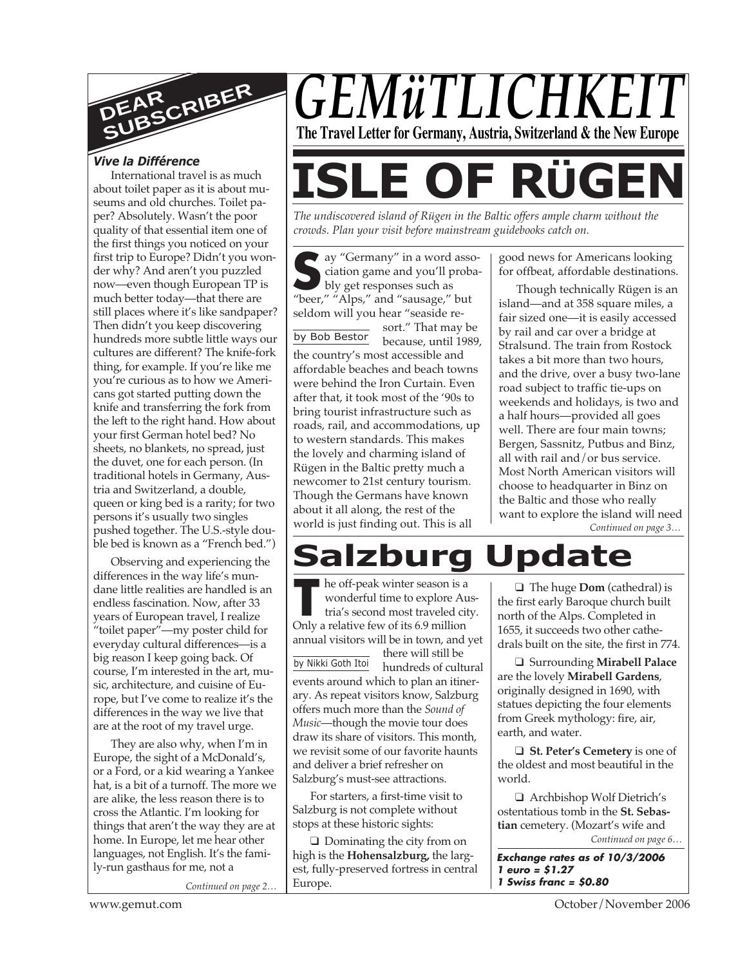

## *Vive la Différence*

International travel is as much about toilet paper as it is about museums and old churches. Toilet paper? Absolutely. Wasn't the poor quality of that essential item one of the first things you noticed on your first trip to Europe? Didn't you wonder why? And aren't you puzzled now—even though European TP is much better today—that there are still places where it's like sandpaper? Then didn't you keep discovering hundreds more subtle little ways our cultures are different? The knife-fork thing, for example. If you're like me you're curious as to how we Americans got started putting down the knife and transferring the fork from the left to the right hand. How about your first German hotel bed? No sheets, no blankets, no spread, just the duvet, one for each person. (In traditional hotels in Germany, Austria and Switzerland, a double, queen or king bed is a rarity; for two persons it's usually two singles pushed together. The U.S.-style double bed is known as a "French bed.")

Observing and experiencing the differences in the way life's mundane little realities are handled is an endless fascination. Now, after 33 years of European travel, I realize "toilet paper"—my poster child for everyday cultural differences—is a big reason I keep going back. Of course, I'm interested in the art, music, architecture, and cuisine of Europe, but I've come to realize it's the differences in the way we live that are at the root of my travel urge.

They are also why, when I'm in Europe, the sight of a McDonald's, or a Ford, or a kid wearing a Yankee hat, is a bit of a turnoff. The more we are alike, the less reason there is to cross the Atlantic. I'm looking for things that aren't the way they are at home. In Europe, let me hear other languages, not English. It's the family-run gasthaus for me, not a

*Continued on page 2…*



*The undiscovered island of Rügen in the Baltic offers ample charm without the crowds. Plan your visit before mainstream guidebooks catch on.*

ay "Germany" in a word association game and you'll probably get responses such as<br>
"heer" " "Alps" and "sausage" but ciation game and you'll probably get responses such as "beer," "Alps," and "sausage," but seldom will you hear "seaside re-

by Bob Bestor sort." That may be because, until 1989, the country's most accessible and affordable beaches and beach towns were behind the Iron Curtain. Even after that, it took most of the '90s to bring tourist infrastructure such as roads, rail, and accommodations, up to western standards. This makes the lovely and charming island of Rügen in the Baltic pretty much a newcomer to 21st century tourism. Though the Germans have known about it all along, the rest of the world is just finding out. This is all

good news for Americans looking for offbeat, affordable destinations.

*Continued on page 3…* Though technically Rügen is an island—and at 358 square miles, a fair sized one—it is easily accessed by rail and car over a bridge at Stralsund. The train from Rostock takes a bit more than two hours, and the drive, over a busy two-lane road subject to traffic tie-ups on weekends and holidays, is two and a half hours—provided all goes well. There are four main towns; Bergen, Sassnitz, Putbus and Binz, all with rail and/or bus service. Most North American visitors will choose to headquarter in Binz on the Baltic and those who really want to explore the island will need

**Salzburg Update**

**The off-peak winter season is a wonderful time to explore At tria's second most traveled cip Only a relative few of its 6.9 million** he off-peak winter season is a wonderful time to explore Austria's second most traveled city.

annual visitors will be in town, and yet

by Nikki Goth Itoi there will still be hundreds of cultural events around which to plan an itinerary. As repeat visitors know, Salzburg offers much more than the *Sound of Music*—though the movie tour does draw its share of visitors. This month, we revisit some of our favorite haunts and deliver a brief refresher on Salzburg's must-see attractions.

For starters, a first-time visit to Salzburg is not complete without stops at these historic sights:

❑ Dominating the city from on high is the **Hohensalzburg,** the largest, fully-preserved fortress in central Europe.

❑ The huge **Dom** (cathedral) is the first early Baroque church built north of the Alps. Completed in 1655, it succeeds two other cathedrals built on the site, the first in 774.

❑ Surrounding **Mirabell Palace** are the lovely **Mirabell Gardens**, originally designed in 1690, with statues depicting the four elements from Greek mythology: fire, air, earth, and water.

❑ **St. Peter's Cemetery** is one of the oldest and most beautiful in the world.

❑ Archbishop Wolf Dietrich's ostentatious tomb in the **St. Sebastian** cemetery. (Mozart's wife and

*Continued on page 6…*

**Exchange rates as of 10/3/2006 1 euro = \$1.27 1 Swiss franc = \$0.80**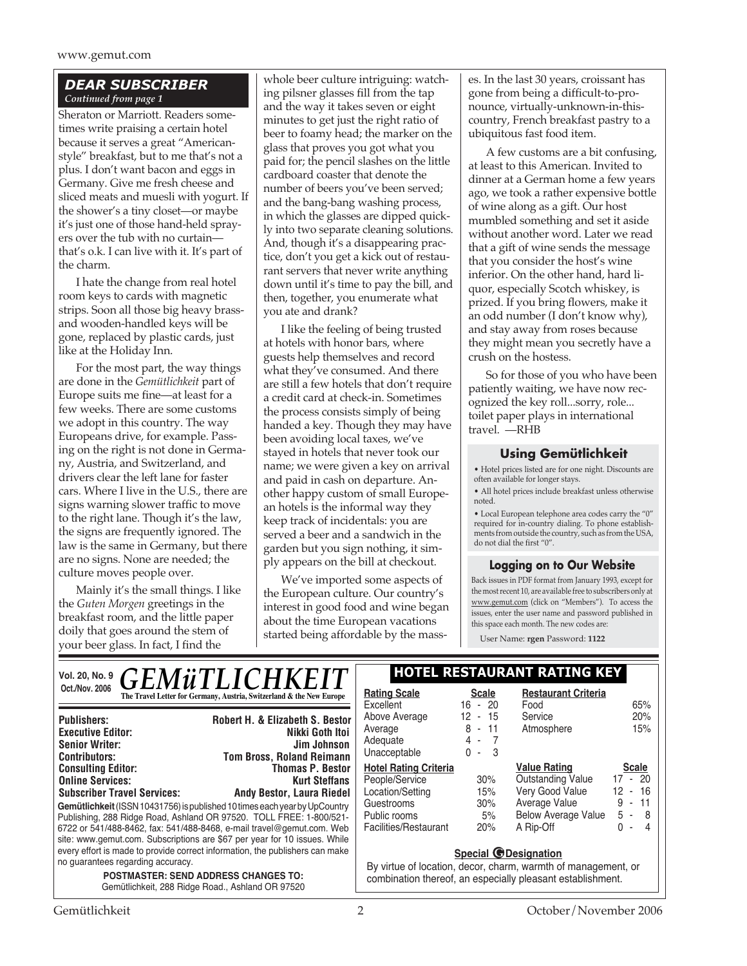## *DEAR SUBSCRIBER Continued from page 1*

Sheraton or Marriott. Readers sometimes write praising a certain hotel because it serves a great "Americanstyle" breakfast, but to me that's not a plus. I don't want bacon and eggs in Germany. Give me fresh cheese and sliced meats and muesli with yogurt. If the shower's a tiny closet—or maybe it's just one of those hand-held sprayers over the tub with no curtain that's o.k. I can live with it. It's part of the charm.

I hate the change from real hotel room keys to cards with magnetic strips. Soon all those big heavy brassand wooden-handled keys will be gone, replaced by plastic cards, just like at the Holiday Inn.

For the most part, the way things are done in the *Gemütlichkeit* part of Europe suits me fine—at least for a few weeks. There are some customs we adopt in this country. The way Europeans drive, for example. Passing on the right is not done in Germany, Austria, and Switzerland, and drivers clear the left lane for faster cars. Where I live in the U.S., there are signs warning slower traffic to move to the right lane. Though it's the law, the signs are frequently ignored. The law is the same in Germany, but there are no signs. None are needed; the culture moves people over.

Mainly it's the small things. I like the *Guten Morgen* greetings in the breakfast room, and the little paper doily that goes around the stem of your beer glass. In fact, I find the

whole beer culture intriguing: watching pilsner glasses fill from the tap and the way it takes seven or eight minutes to get just the right ratio of beer to foamy head; the marker on the glass that proves you got what you paid for; the pencil slashes on the little cardboard coaster that denote the number of beers you've been served; and the bang-bang washing process, in which the glasses are dipped quickly into two separate cleaning solutions. And, though it's a disappearing practice, don't you get a kick out of restaurant servers that never write anything down until it's time to pay the bill, and then, together, you enumerate what you ate and drank?

I like the feeling of being trusted at hotels with honor bars, where guests help themselves and record what they've consumed. And there are still a few hotels that don't require a credit card at check-in. Sometimes the process consists simply of being handed a key. Though they may have been avoiding local taxes, we've stayed in hotels that never took our name; we were given a key on arrival and paid in cash on departure. Another happy custom of small European hotels is the informal way they keep track of incidentals: you are served a beer and a sandwich in the garden but you sign nothing, it simply appears on the bill at checkout.

We've imported some aspects of the European culture. Our country's interest in good food and wine began about the time European vacations started being affordable by the masses. In the last 30 years, croissant has gone from being a difficult-to-pronounce, virtually-unknown-in-thiscountry, French breakfast pastry to a ubiquitous fast food item.

A few customs are a bit confusing, at least to this American. Invited to dinner at a German home a few years ago, we took a rather expensive bottle of wine along as a gift. Our host mumbled something and set it aside without another word. Later we read that a gift of wine sends the message that you consider the host's wine inferior. On the other hand, hard liquor, especially Scotch whiskey, is prized. If you bring flowers, make it an odd number (I don't know why), and stay away from roses because they might mean you secretly have a crush on the hostess.

So for those of you who have been patiently waiting, we have now recognized the key roll...sorry, role... toilet paper plays in international travel. —RHB

#### **Using Gemütlichkeit**

• Hotel prices listed are for one night. Discounts are often available for longer stays.

• All hotel prices include breakfast unless otherwise noted.

• Local European telephone area codes carry the "0" required for in-country dialing. To phone establishments from outside the country, such as from the USA, do not dial the first "0".

#### **Logging on to Our Website**

Back issues in PDF format from January 1993, except for the most recent 10, are available free to subscribers only at www.gemut.com (click on "Members"). To access the issues, enter the user name and password published in this space each month. The new codes are:

User Name: **rgen** Password: **1122**

| Oct./Nov. 2006                                                                                  | Vol. 20, No. 9 $\boldsymbol{GEMWTLICHKEIT}$<br>The Travel Letter for Germany, Austria, Switzerland & the New Europe | <b>Rating Scale</b>                                           | <b>Scale</b> | <b>HOTEL RESTAURANT RATING KEY</b><br><b>Restaurant Criteria</b> |              |
|-------------------------------------------------------------------------------------------------|---------------------------------------------------------------------------------------------------------------------|---------------------------------------------------------------|--------------|------------------------------------------------------------------|--------------|
|                                                                                                 |                                                                                                                     | Excellent                                                     | $16 - 20$    | Food                                                             | 65%          |
| <b>Publishers:</b>                                                                              | <b>Robert H. &amp; Elizabeth S. Bestor</b>                                                                          | Above Average                                                 | 12<br>$-15$  | Service                                                          | 20%          |
| <b>Executive Editor:</b>                                                                        | Nikki Goth Itoi                                                                                                     | Average                                                       | $8 - 11$     | Atmosphere                                                       | 15%          |
| <b>Senior Writer:</b>                                                                           | Jim Johnson                                                                                                         | Adequate                                                      | $4 - 7$      |                                                                  |              |
| <b>Contributors:</b>                                                                            | <b>Tom Bross, Roland Reimann</b>                                                                                    | Unacceptable                                                  | $0 - 3$      |                                                                  |              |
| <b>Consulting Editor:</b>                                                                       | <b>Thomas P. Bestor</b>                                                                                             | <b>Hotel Rating Criteria</b>                                  |              | <b>Value Rating</b>                                              | <b>Scale</b> |
| <b>Online Services:</b>                                                                         | <b>Kurt Steffans</b>                                                                                                | People/Service                                                | 30%          | <b>Outstanding Value</b>                                         | 17 - 20      |
| <b>Subscriber Travel Services:</b>                                                              | <b>Andy Bestor, Laura Riedel</b>                                                                                    | Location/Setting                                              | 15%          | Very Good Value                                                  | $12 - 16$    |
| Gemütlichkeit (ISSN 10431756) is published 10 times each year by UpCountry                      |                                                                                                                     | Guestrooms                                                    | 30%          | Average Value                                                    | $9 - 11$     |
| Publishing, 288 Ridge Road, Ashland OR 97520. TOLL FREE: 1-800/521-                             |                                                                                                                     | Public rooms                                                  | 5%           | <b>Below Average Value</b>                                       | $5 - 8$      |
| 6722 or 541/488-8462, fax: 541/488-8468, e-mail travel@gemut.com. Web                           |                                                                                                                     | Facilities/Restaurant                                         | 20%          | A Rip-Off                                                        | $0 - 4$      |
|                                                                                                 | site: www.gemut.com. Subscriptions are \$67 per year for 10 issues. While                                           |                                                               |              |                                                                  |              |
| every effort is made to provide correct information, the publishers can make                    |                                                                                                                     | Special <i>O</i> Designation                                  |              |                                                                  |              |
| no guarantees regarding accuracy.                                                               |                                                                                                                     | By virtue of location, decor, charm, warmth of management, or |              |                                                                  |              |
| <b>POSTMASTER: SEND ADDRESS CHANGES TO:</b><br>Gemütlichkeit, 288 Ridge Road., Ashland OR 97520 |                                                                                                                     |                                                               |              | combination thereof, an especially pleasant establishment.       |              |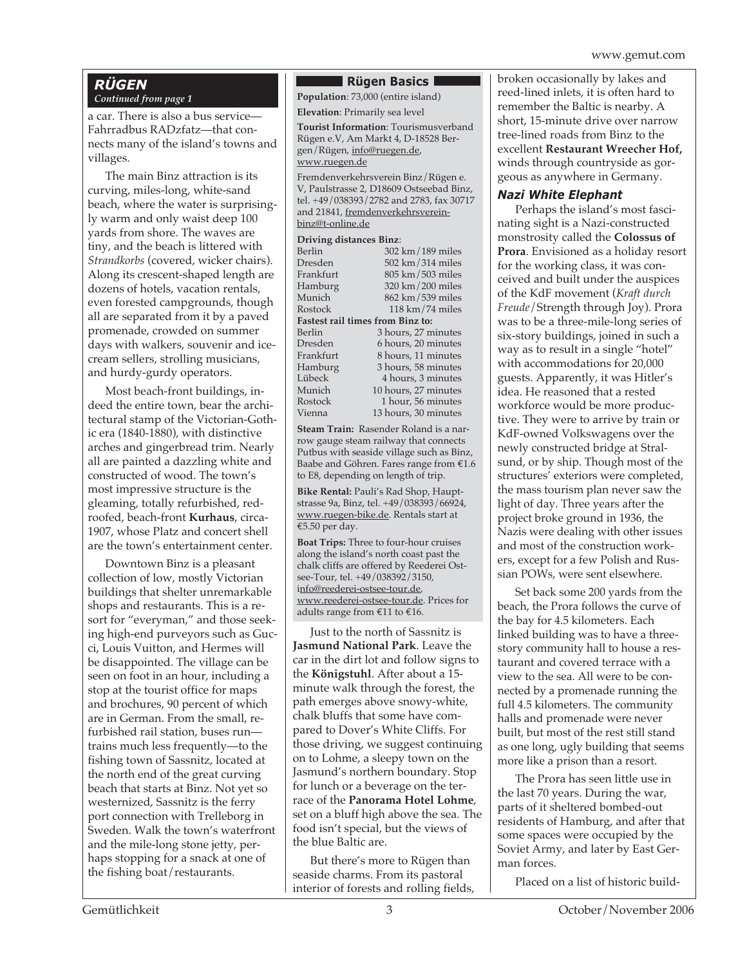# *RÜGEN*

## *Continued from page 1*

a car. There is also a bus service— Fahrradbus RADzfatz—that connects many of the island's towns and villages.

The main Binz attraction is its curving, miles-long, white-sand beach, where the water is surprisingly warm and only waist deep 100 yards from shore. The waves are tiny, and the beach is littered with *Strandkorbs* (covered, wicker chairs). Along its crescent-shaped length are dozens of hotels, vacation rentals, even forested campgrounds, though all are separated from it by a paved promenade, crowded on summer days with walkers, souvenir and icecream sellers, strolling musicians, and hurdy-gurdy operators.

Most beach-front buildings, indeed the entire town, bear the architectural stamp of the Victorian-Gothic era (1840-1880), with distinctive arches and gingerbread trim. Nearly all are painted a dazzling white and constructed of wood. The town's most impressive structure is the gleaming, totally refurbished, redroofed, beach-front **Kurhaus**, circa-1907, whose Platz and concert shell are the town's entertainment center.

Downtown Binz is a pleasant collection of low, mostly Victorian buildings that shelter unremarkable shops and restaurants. This is a resort for "everyman," and those seeking high-end purveyors such as Gucci, Louis Vuitton, and Hermes will be disappointed. The village can be seen on foot in an hour, including a stop at the tourist office for maps and brochures, 90 percent of which are in German. From the small, refurbished rail station, buses run trains much less frequently—to the fishing town of Sassnitz, located at the north end of the great curving beach that starts at Binz. Not yet so westernized, Sassnitz is the ferry port connection with Trelleborg in Sweden. Walk the town's waterfront and the mile-long stone jetty, perhaps stopping for a snack at one of the fishing boat/restaurants.

#### **Rügen Basics**

**Population**: 73,000 (entire island)

**Elevation**: Primarily sea level

**Tourist Information**: Tourismusverband Rügen e.V, Am Markt 4, D-18528 Bergen/Rügen, info@ruegen.de, www.ruegen.de

Fremdenverkehrsverein Binz/Rügen e. V, Paulstrasse 2, D18609 Ostseebad Binz, tel. +49/038393/2782 and 2783, fax 30717 and 21841, fremdenverkehrsvereinbinz@t-online.de

#### **Driving distances Binz**:

| 302 km/189 miles                        |  |  |  |  |
|-----------------------------------------|--|--|--|--|
| 502 km/314 miles                        |  |  |  |  |
| 805 km/503 miles                        |  |  |  |  |
| 320 km/200 miles                        |  |  |  |  |
| 862 km/539 miles                        |  |  |  |  |
| $118 \text{ km}/74 \text{ miles}$       |  |  |  |  |
| <b>Fastest rail times from Binz to:</b> |  |  |  |  |
| 3 hours, 27 minutes                     |  |  |  |  |
| 6 hours, 20 minutes                     |  |  |  |  |
| 8 hours, 11 minutes                     |  |  |  |  |
| 3 hours, 58 minutes                     |  |  |  |  |
| 4 hours, 3 minutes                      |  |  |  |  |
| 10 hours, 27 minutes                    |  |  |  |  |
| 1 hour, 56 minutes                      |  |  |  |  |
| 13 hours, 30 minutes                    |  |  |  |  |
|                                         |  |  |  |  |

**Steam Train:** Rasender Roland is a narrow gauge steam railway that connects Putbus with seaside village such as Binz, Baabe and Göhren. Fares range from €1.6 to E8, depending on length of trip.

**Bike Rental:** Pauli's Rad Shop, Hauptstrasse 9a, Binz, tel. +49/038393/66924, www.ruegen-bike.de. Rentals start at €5.50 per day.

**Boat Trips:** Three to four-hour cruises along the island's north coast past the chalk cliffs are offered by Reederei Ostsee-Tour, tel. +49/038392/3150, info@reederei-ostsee-tour.de, www.reederei-ostsee-tour.de. Prices for adults range from €11 to €16.

Just to the north of Sassnitz is **Jasmund National Park**. Leave the car in the dirt lot and follow signs to the **Königstuhl**. After about a 15 minute walk through the forest, the path emerges above snowy-white, chalk bluffs that some have compared to Dover's White Cliffs. For those driving, we suggest continuing on to Lohme, a sleepy town on the Jasmund's northern boundary. Stop for lunch or a beverage on the terrace of the **Panorama Hotel Lohme**, set on a bluff high above the sea. The food isn't special, but the views of the blue Baltic are.

But there's more to Rügen than seaside charms. From its pastoral interior of forests and rolling fields, broken occasionally by lakes and reed-lined inlets, it is often hard to remember the Baltic is nearby. A short, 15-minute drive over narrow tree-lined roads from Binz to the excellent **Restaurant Wreecher Hof,** winds through countryside as gorgeous as anywhere in Germany.

#### *Nazi White Elephant*

Perhaps the island's most fascinating sight is a Nazi-constructed monstrosity called the **Colossus of Prora**. Envisioned as a holiday resort for the working class, it was conceived and built under the auspices of the KdF movement (*Kraft durch Freude*/Strength through Joy). Prora was to be a three-mile-long series of six-story buildings, joined in such a way as to result in a single "hotel" with accommodations for 20,000 guests. Apparently, it was Hitler's idea. He reasoned that a rested workforce would be more productive. They were to arrive by train or KdF-owned Volkswagens over the newly constructed bridge at Stralsund, or by ship. Though most of the structures' exteriors were completed, the mass tourism plan never saw the light of day. Three years after the project broke ground in 1936, the Nazis were dealing with other issues and most of the construction workers, except for a few Polish and Russian POWs, were sent elsewhere.

Set back some 200 yards from the beach, the Prora follows the curve of the bay for 4.5 kilometers. Each linked building was to have a threestory community hall to house a restaurant and covered terrace with a view to the sea. All were to be connected by a promenade running the full 4.5 kilometers. The community halls and promenade were never built, but most of the rest still stand as one long, ugly building that seems more like a prison than a resort.

The Prora has seen little use in the last 70 years. During the war, parts of it sheltered bombed-out residents of Hamburg, and after that some spaces were occupied by the Soviet Army, and later by East German forces.

Placed on a list of historic build-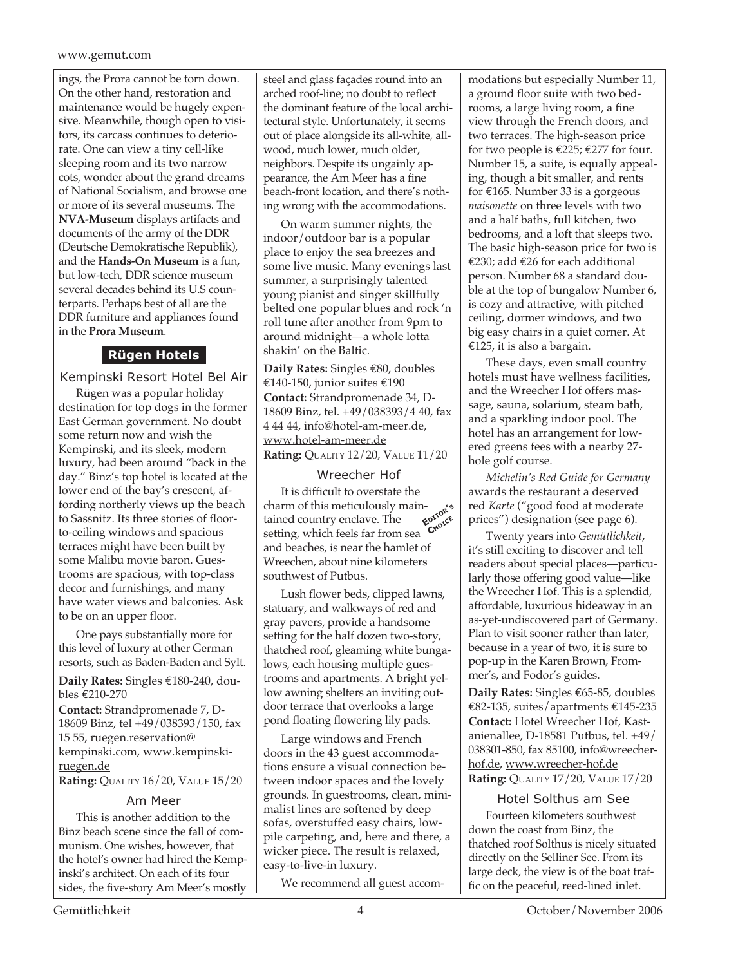#### www.gemut.com

ings, the Prora cannot be torn down. On the other hand, restoration and maintenance would be hugely expensive. Meanwhile, though open to visitors, its carcass continues to deteriorate. One can view a tiny cell-like sleeping room and its two narrow cots, wonder about the grand dreams of National Socialism, and browse one or more of its several museums. The **NVA-Museum** displays artifacts and documents of the army of the DDR (Deutsche Demokratische Republik), and the **Hands-On Museum** is a fun, but low-tech, DDR science museum several decades behind its U.S counterparts. Perhaps best of all are the DDR furniture and appliances found in the **Prora Museum**.

## **Rügen Hotels**

Kempinski Resort Hotel Bel Air

Rügen was a popular holiday destination for top dogs in the former East German government. No doubt some return now and wish the Kempinski, and its sleek, modern luxury, had been around "back in the day." Binz's top hotel is located at the lower end of the bay's crescent, affording northerly views up the beach to Sassnitz. Its three stories of floorto-ceiling windows and spacious terraces might have been built by some Malibu movie baron. Guestrooms are spacious, with top-class decor and furnishings, and many have water views and balconies. Ask to be on an upper floor.

One pays substantially more for this level of luxury at other German resorts, such as Baden-Baden and Sylt.

**Daily Rates:** Singles €180-240, doubles €210-270 **Contact:** Strandpromenade 7, D-18609 Binz, tel +49/038393/150, fax 15 55, ruegen.reservation@

kempinski.com, www.kempinskiruegen.de

## **Rating:** QUALITY 16/20, VALUE 15/20

#### Am Meer

This is another addition to the Binz beach scene since the fall of communism. One wishes, however, that the hotel's owner had hired the Kempinski's architect. On each of its four sides, the five-story Am Meer's mostly

steel and glass façades round into an arched roof-line; no doubt to reflect the dominant feature of the local architectural style. Unfortunately, it seems out of place alongside its all-white, allwood, much lower, much older, neighbors. Despite its ungainly appearance, the Am Meer has a fine beach-front location, and there's nothing wrong with the accommodations.

On warm summer nights, the indoor/outdoor bar is a popular place to enjoy the sea breezes and some live music. Many evenings last summer, a surprisingly talented young pianist and singer skillfully belted one popular blues and rock 'n roll tune after another from 9pm to around midnight—a whole lotta shakin' on the Baltic.

**Daily Rates:** Singles €80, doubles €140-150, junior suites €190 **Contact:** Strandpromenade 34, D-18609 Binz, tel. +49/038393/4 40, fax 4 44 44, info@hotel-am-meer.de, www.hotel-am-meer.de **Rating:** QUALITY 12/20, VALUE 11/20

#### Wreecher Hof

It is difficult to overstate the charm of this meticulously maintained country enclave. The setting, which feels far from sea and beaches, is near the hamlet of Wreechen, about nine kilometers southwest of Putbus. **EDITOR'<sup>S</sup> CHOICE**

Lush flower beds, clipped lawns, statuary, and walkways of red and gray pavers, provide a handsome setting for the half dozen two-story, thatched roof, gleaming white bungalows, each housing multiple guestrooms and apartments. A bright yellow awning shelters an inviting outdoor terrace that overlooks a large pond floating flowering lily pads.

Large windows and French doors in the 43 guest accommodations ensure a visual connection between indoor spaces and the lovely grounds. In guestrooms, clean, minimalist lines are softened by deep sofas, overstuffed easy chairs, lowpile carpeting, and, here and there, a wicker piece. The result is relaxed, easy-to-live-in luxury.

We recommend all guest accom-

modations but especially Number 11, a ground floor suite with two bedrooms, a large living room, a fine view through the French doors, and two terraces. The high-season price for two people is €225; €277 for four. Number 15, a suite, is equally appealing, though a bit smaller, and rents for  $\epsilon$ 165. Number 33 is a gorgeous *maisonette* on three levels with two and a half baths, full kitchen, two bedrooms, and a loft that sleeps two. The basic high-season price for two is €230; add €26 for each additional person. Number 68 a standard double at the top of bungalow Number 6, is cozy and attractive, with pitched ceiling, dormer windows, and two big easy chairs in a quiet corner. At €125, it is also a bargain.

These days, even small country hotels must have wellness facilities, and the Wreecher Hof offers massage, sauna, solarium, steam bath, and a sparkling indoor pool. The hotel has an arrangement for lowered greens fees with a nearby 27 hole golf course.

*Michelin's Red Guide for Germany* awards the restaurant a deserved red *Karte* ("good food at moderate prices") designation (see page 6).

Twenty years into *Gemütlichkeit*, it's still exciting to discover and tell readers about special places—particularly those offering good value—like the Wreecher Hof. This is a splendid, affordable, luxurious hideaway in an as-yet-undiscovered part of Germany. Plan to visit sooner rather than later, because in a year of two, it is sure to pop-up in the Karen Brown, Frommer's, and Fodor's guides.

**Daily Rates:** Singles €65-85, doubles €82-135, suites/apartments €145-235 **Contact:** Hotel Wreecher Hof, Kastanienallee, D-18581 Putbus, tel. +49/ 038301-850, fax 85100, info@wreecherhof.de, www.wreecher-hof.de **Rating:** QUALITY 17/20, VALUE 17/20

Hotel Solthus am See

Fourteen kilometers southwest down the coast from Binz, the thatched roof Solthus is nicely situated directly on the Selliner See. From its large deck, the view is of the boat traffic on the peaceful, reed-lined inlet.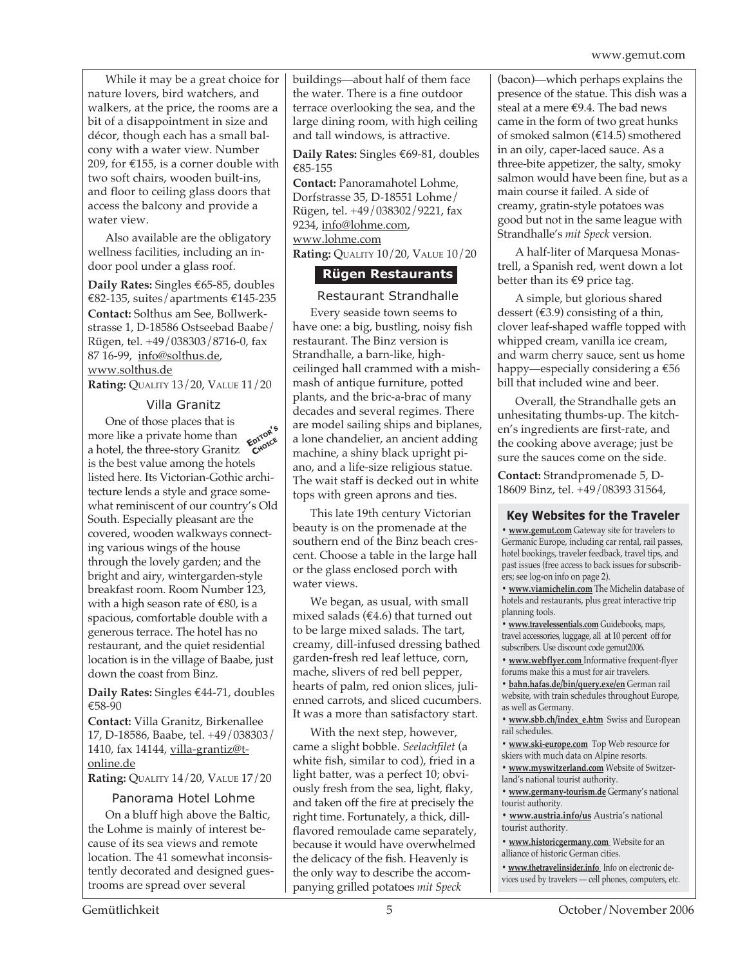While it may be a great choice for nature lovers, bird watchers, and walkers, at the price, the rooms are a bit of a disappointment in size and décor, though each has a small balcony with a water view. Number 209, for  $\epsilon$ 155, is a corner double with two soft chairs, wooden built-ins, and floor to ceiling glass doors that access the balcony and provide a water view.

Also available are the obligatory wellness facilities, including an indoor pool under a glass roof.

**Daily Rates:** Singles €65-85, doubles €82-135, suites/apartments €145-235 **Contact:** Solthus am See, Bollwerkstrasse 1, D-18586 Ostseebad Baabe/ Rügen, tel. +49/038303/8716-0, fax 87 16-99, info@solthus.de, www.solthus.de

**Rating:** QUALITY 13/20, VALUE 11/20

#### Villa Granitz

One of those places that is more like a private home than a hotel, the three-story Granitz is the best value among the hotels listed here. Its Victorian-Gothic architecture lends a style and grace somewhat reminiscent of our country's Old South. Especially pleasant are the covered, wooden walkways connecting various wings of the house through the lovely garden; and the bright and airy, wintergarden-style breakfast room. Room Number 123, with a high season rate of €80, is a spacious, comfortable double with a generous terrace. The hotel has no restaurant, and the quiet residential location is in the village of Baabe, just down the coast from Binz. **EDITOR'<sup>S</sup> CHOICE**

**Daily Rates:** Singles €44-71, doubles €58-90

**Contact:** Villa Granitz, Birkenallee 17, D-18586, Baabe, tel. +49/038303/ 1410, fax 14144, villa-grantiz@tonline.de

**Rating:** QUALITY 14/20, VALUE 17/20

#### Panorama Hotel Lohme

On a bluff high above the Baltic, the Lohme is mainly of interest because of its sea views and remote location. The 41 somewhat inconsistently decorated and designed guestrooms are spread over several

buildings—about half of them face the water. There is a fine outdoor terrace overlooking the sea, and the large dining room, with high ceiling and tall windows, is attractive.

**Daily Rates:** Singles €69-81, doubles €85-155

**Contact:** Panoramahotel Lohme, Dorfstrasse 35, D-18551 Lohme/ Rügen, tel. +49/038302/9221, fax 9234, info@lohme.com, www.lohme.com **Rating:** QUALITY 10/20, VALUE 10/20

## **Rügen Restaurants**

Restaurant Strandhalle Every seaside town seems to have one: a big, bustling, noisy fish restaurant. The Binz version is Strandhalle, a barn-like, highceilinged hall crammed with a mishmash of antique furniture, potted plants, and the bric-a-brac of many decades and several regimes. There are model sailing ships and biplanes, a lone chandelier, an ancient adding machine, a shiny black upright piano, and a life-size religious statue. The wait staff is decked out in white tops with green aprons and ties.

This late 19th century Victorian beauty is on the promenade at the southern end of the Binz beach crescent. Choose a table in the large hall or the glass enclosed porch with water views.

We began, as usual, with small mixed salads ( $€4.6$ ) that turned out to be large mixed salads. The tart, creamy, dill-infused dressing bathed garden-fresh red leaf lettuce, corn, mache, slivers of red bell pepper, hearts of palm, red onion slices, julienned carrots, and sliced cucumbers. It was a more than satisfactory start.

With the next step, however, came a slight bobble. *Seelachfilet* (a white fish, similar to cod), fried in a light batter, was a perfect 10; obviously fresh from the sea, light, flaky, and taken off the fire at precisely the right time. Fortunately, a thick, dillflavored remoulade came separately, because it would have overwhelmed the delicacy of the fish. Heavenly is the only way to describe the accompanying grilled potatoes *mit Speck*

(bacon)—which perhaps explains the presence of the statue. This dish was a steal at a mere €9.4. The bad news came in the form of two great hunks of smoked salmon (€14.5) smothered in an oily, caper-laced sauce. As a three-bite appetizer, the salty, smoky salmon would have been fine, but as a main course it failed. A side of creamy, gratin-style potatoes was good but not in the same league with Strandhalle's *mit Speck* version.

A half-liter of Marquesa Monastrell, a Spanish red, went down a lot better than its €9 price tag.

A simple, but glorious shared dessert  $(43.9)$  consisting of a thin, clover leaf-shaped waffle topped with whipped cream, vanilla ice cream, and warm cherry sauce, sent us home happy—especially considering a €56 bill that included wine and beer.

Overall, the Strandhalle gets an unhesitating thumbs-up. The kitchen's ingredients are first-rate, and the cooking above average; just be sure the sauces come on the side.

**Contact:** Strandpromenade 5, D-18609 Binz, tel. +49/08393 31564,

#### **Key Websites for the Traveler**

**• www.gemut.com** Gateway site for travelers to Germanic Europe, including car rental, rail passes, hotel bookings, traveler feedback, travel tips, and past issues (free access to back issues for subscribers; see log-on info on page 2).

**• www.viamichelin.com** The Michelin database of hotels and restaurants, plus great interactive trip planning tools.

**• www.travelessentials.com** Guidebooks, maps, travel accessories, luggage, all at 10 percent off for subscribers. Use discount code gemut2006.

**• www.webflyer.com** Informative frequent-flyer forums make this a must for air travelers.

**• bahn.hafas.de/bin/query.exe/en** German rail website, with train schedules throughout Europe, as well as Germany.

**• www.sbb.ch/index\_e.htm** Swiss and European rail schedules.

**• www.ski-europe.com** Top Web resource for skiers with much data on Alpine resorts.

**• www.myswitzerland.com** Website of Switzerland's national tourist authority.

**• www.germany-tourism.de** Germany's national tourist authority.

**• www.austria.info/us** Austria's national tourist authority.

**• www.historicgermany.com** Website for an alliance of historic German cities.

**• www.thetravelinsider.info** Info on electronic devices used by travelers — cell phones, computers, etc.

Gemütlichkeit 5 October/November 2006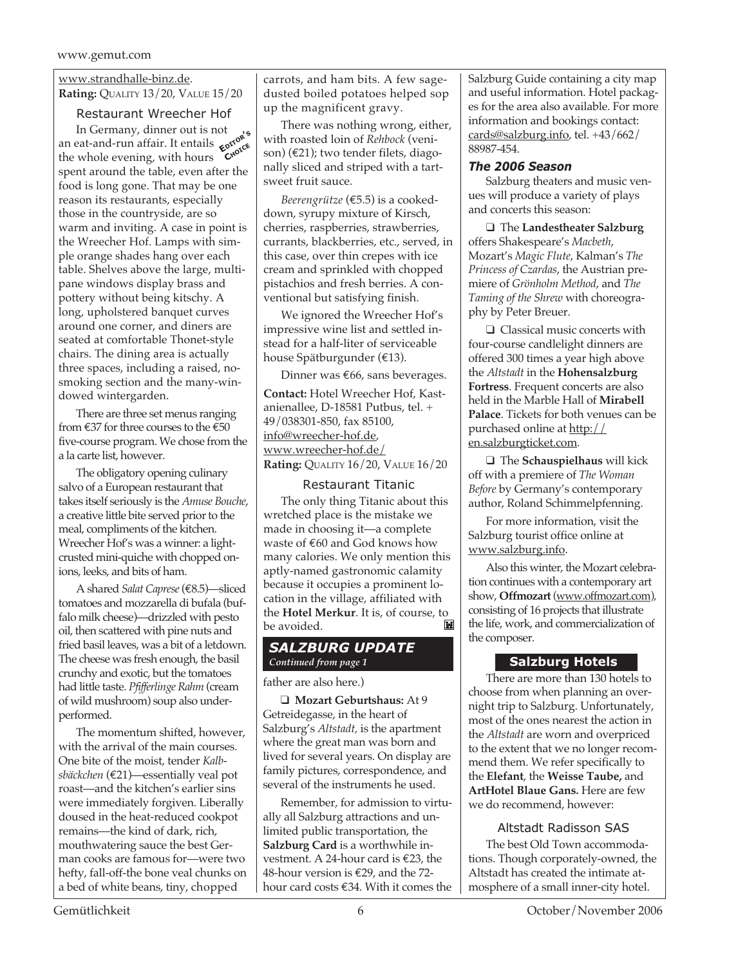## www.strandhalle-binz.de.

**Rating:** QUALITY 13/20, VALUE 15/20

Restaurant Wreecher Hof In Germany, dinner out is not an eat-and-run affair. It entails  $\epsilon$ <sup>p</sup> an eat-and-run affair. It entails  $\epsilon^{\alpha\beta\gamma}_{\alpha\beta}$ <br>the whole evening, with hours **C<sup>hote</sup>** spent around the table, even after the food is long gone. That may be one reason its restaurants, especially those in the countryside, are so warm and inviting. A case in point is the Wreecher Hof. Lamps with simple orange shades hang over each table. Shelves above the large, multipane windows display brass and pottery without being kitschy. A long, upholstered banquet curves around one corner, and diners are seated at comfortable Thonet-style chairs. The dining area is actually three spaces, including a raised, nosmoking section and the many-windowed wintergarden.

There are three set menus ranging from  $\text{\textsterling}37$  for three courses to the  $\text{\textsterling}50$ five-course program. We chose from the a la carte list, however.

The obligatory opening culinary salvo of a European restaurant that takes itself seriously is the *Amuse Bouche*, a creative little bite served prior to the meal, compliments of the kitchen. Wreecher Hof's was a winner: a lightcrusted mini-quiche with chopped onions, leeks, and bits of ham.

A shared *Salat Caprese* (€8.5)—sliced tomatoes and mozzarella di bufala (buffalo milk cheese)—drizzled with pesto oil, then scattered with pine nuts and fried basil leaves, was a bit of a letdown. The cheese was fresh enough, the basil crunchy and exotic, but the tomatoes had little taste. *Pfifferlinge Rahm* (cream of wild mushroom) soup also underperformed.

The momentum shifted, however, with the arrival of the main courses. One bite of the moist, tender *Kalbsbäckchen* (€21)—essentially veal pot roast—and the kitchen's earlier sins were immediately forgiven. Liberally doused in the heat-reduced cookpot remains—the kind of dark, rich, mouthwatering sauce the best German cooks are famous for—were two hefty, fall-off-the bone veal chunks on a bed of white beans, tiny, chopped

carrots, and ham bits. A few sagedusted boiled potatoes helped sop up the magnificent gravy.

There was nothing wrong, either, with roasted loin of *Rehbock* (venison) (€21); two tender filets, diagonally sliced and striped with a tartsweet fruit sauce.

*Beerengrütze* (€5.5) is a cookeddown, syrupy mixture of Kirsch, cherries, raspberries, strawberries, currants, blackberries, etc., served, in this case, over thin crepes with ice cream and sprinkled with chopped pistachios and fresh berries. A conventional but satisfying finish.

We ignored the Wreecher Hof's impressive wine list and settled instead for a half-liter of serviceable house Spätburgunder (€13).

Dinner was €66, sans beverages. **Contact:** Hotel Wreecher Hof, Kastanienallee, D-18581 Putbus, tel. + 49/038301-850, fax 85100, info@wreecher-hof.de, www.wreecher-hof.de/ **Rating:** QUALITY 16/20, VALUE 16/20

#### Restaurant Titanic

The only thing Titanic about this wretched place is the mistake we made in choosing it—a complete waste of €60 and God knows how many calories. We only mention this aptly-named gastronomic calamity because it occupies a prominent location in the village, affiliated with the **Hotel Merkur**. It is, of course, to be avoided.

#### *SALZBURG UPDATE Continued from page 1*

#### father are also here.)

❑ **Mozart Geburtshaus:** At 9 Getreidegasse, in the heart of Salzburg's *Altstadt,* is the apartment where the great man was born and lived for several years. On display are family pictures, correspondence, and several of the instruments he used.

Remember, for admission to virtually all Salzburg attractions and unlimited public transportation, the **Salzburg Card** is a worthwhile investment. A 24-hour card is €23, the 48-hour version is €29, and the 72 hour card costs €34. With it comes the Salzburg Guide containing a city map and useful information. Hotel packages for the area also available. For more information and bookings contact: cards@salzburg.info, tel. +43/662/ 88987-454.

#### *The 2006 Season*

Salzburg theaters and music venues will produce a variety of plays and concerts this season:

❑ The **Landestheater Salzburg** offers Shakespeare's *Macbeth*, Mozart's *Magic Flute*, Kalman's *The Princess of Czardas*, the Austrian premiere of *Grönholm Method*, and *The Taming of the Shrew* with choreography by Peter Breuer.

❑ Classical music concerts with four-course candlelight dinners are offered 300 times a year high above the *Altstadt* in the **Hohensalzburg Fortress**. Frequent concerts are also held in the Marble Hall of **Mirabell Palace**. Tickets for both venues can be purchased online at http:// en.salzburgticket.com.

❑ The **Schauspielhaus** will kick off with a premiere of *The Woman Before* by Germany's contemporary author, Roland Schimmelpfenning.

For more information, visit the Salzburg tourist office online at www.salzburg.info.

Also this winter, the Mozart celebration continues with a contemporary art show, **Offmozart** (www.offmozart.com), consisting of 16 projects that illustrate the life, work, and commercialization of the composer.

## **Salzburg Hotels**

There are more than 130 hotels to choose from when planning an overnight trip to Salzburg. Unfortunately, most of the ones nearest the action in the *Altstadt* are worn and overpriced to the extent that we no longer recommend them. We refer specifically to the **Elefant**, the **Weisse Taube,** and **ArtHotel Blaue Gans.** Here are few we do recommend, however:

## Altstadt Radisson SAS

The best Old Town accommodations. Though corporately-owned, the Altstadt has created the intimate atmosphere of a small inner-city hotel.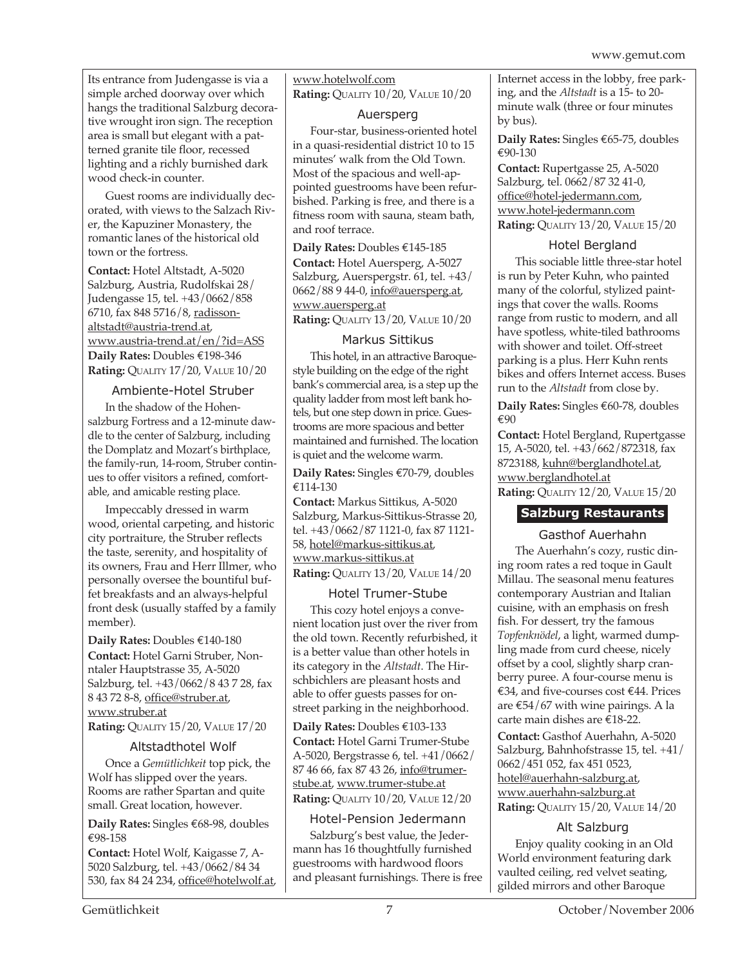Its entrance from Judengasse is via a simple arched doorway over which hangs the traditional Salzburg decorative wrought iron sign. The reception area is small but elegant with a patterned granite tile floor, recessed lighting and a richly burnished dark wood check-in counter.

Guest rooms are individually decorated, with views to the Salzach River, the Kapuziner Monastery, the romantic lanes of the historical old town or the fortress.

**Contact:** Hotel Altstadt, A-5020 Salzburg, Austria, Rudolfskai 28/ Judengasse 15, tel. +43/0662/858 6710, fax 848 5716/8, radissonaltstadt@austria-trend.at, www.austria-trend.at/en/?id=ASS **Daily Rates:** Doubles €198-346 **Rating:** QUALITY 17/20, VALUE 10/20

## Ambiente-Hotel Struber

In the shadow of the Hohensalzburg Fortress and a 12-minute dawdle to the center of Salzburg, including the Domplatz and Mozart's birthplace, the family-run, 14-room, Struber continues to offer visitors a refined, comfortable, and amicable resting place.

Impeccably dressed in warm wood, oriental carpeting, and historic city portraiture, the Struber reflects the taste, serenity, and hospitality of its owners, Frau and Herr Illmer, who personally oversee the bountiful buffet breakfasts and an always-helpful front desk (usually staffed by a family member).

**Daily Rates:** Doubles €140-180 **Contact:** Hotel Garni Struber, Nonntaler Hauptstrasse 35, A-5020 Salzburg, tel. +43/0662/8 43 7 28, fax 8 43 72 8-8, office@struber.at, www.struber.at

**Rating:** QUALITY 15/20, VALUE 17/20

#### Altstadthotel Wolf

Once a *Gemütlichkeit* top pick, the Wolf has slipped over the years. Rooms are rather Spartan and quite small. Great location, however.

**Daily Rates:** Singles €68-98, doubles €98-158

**Contact:** Hotel Wolf, Kaigasse 7, A-5020 Salzburg, tel. +43/0662/84 34 530, fax 84 24 234, office@hotelwolf.at, www.hotelwolf.com **Rating:** QUALITY 10/20, VALUE 10/20

#### Auersperg

Four-star, business-oriented hotel in a quasi-residential district 10 to 15 minutes' walk from the Old Town. Most of the spacious and well-appointed guestrooms have been refurbished. Parking is free, and there is a fitness room with sauna, steam bath, and roof terrace.

**Daily Rates:** Doubles €145-185 **Contact:** Hotel Auersperg, A-5027 Salzburg, Auerspergstr. 61, tel. +43/ 0662/88 9 44-0, info@auersperg.at, www.auersperg.at **Rating:** QUALITY 13/20, VALUE 10/20

## Markus Sittikus

This hotel, in an attractive Baroquestyle building on the edge of the right bank's commercial area, is a step up the quality ladder from most left bank hotels, but one step down in price. Guestrooms are more spacious and better maintained and furnished. The location is quiet and the welcome warm.

**Daily Rates:** Singles €70-79, doubles €114-130

**Contact:** Markus Sittikus, A-5020 Salzburg, Markus-Sittikus-Strasse 20, tel. +43/0662/87 1121-0, fax 87 1121- 58, hotel@markus-sittikus.at, www.markus-sittikus.at **Rating:** QUALITY 13/20, VALUE 14/20

## Hotel Trumer-Stube

This cozy hotel enjoys a convenient location just over the river from the old town. Recently refurbished, it is a better value than other hotels in its category in the *Altstadt*. The Hirschbichlers are pleasant hosts and able to offer guests passes for onstreet parking in the neighborhood.

**Daily Rates:** Doubles €103-133 **Contact:** Hotel Garni Trumer-Stube A-5020, Bergstrasse 6, tel. +41/0662/ 87 46 66, fax 87 43 26, info@trumerstube.at, www.trumer-stube.at **Rating:** QUALITY 10/20, VALUE 12/20

#### Hotel-Pension Jedermann

Salzburg's best value, the Jedermann has 16 thoughtfully furnished guestrooms with hardwood floors and pleasant furnishings. There is free Internet access in the lobby, free parking, and the *Altstadt* is a 15- to 20 minute walk (three or four minutes by bus).

**Daily Rates:** Singles €65-75, doubles €90-130

**Contact:** Rupertgasse 25, A-5020 Salzburg, tel. 0662/87 32 41-0, office@hotel-jedermann.com, www.hotel-jedermann.com **Rating:** QUALITY 13/20, VALUE 15/20

## Hotel Bergland

This sociable little three-star hotel is run by Peter Kuhn, who painted many of the colorful, stylized paintings that cover the walls. Rooms range from rustic to modern, and all have spotless, white-tiled bathrooms with shower and toilet. Off-street parking is a plus. Herr Kuhn rents bikes and offers Internet access. Buses run to the *Altstadt* from close by.

**Daily Rates:** Singles €60-78, doubles €90

**Contact:** Hotel Bergland, Rupertgasse 15, A-5020, tel. +43/662/872318, fax 8723188, kuhn@berglandhotel.at, www.berglandhotel.at

**Rating:** QUALITY 12/20, VALUE 15/20

## **Salzburg Restaurants**

#### Gasthof Auerhahn

The Auerhahn's cozy, rustic dining room rates a red toque in Gault Millau. The seasonal menu features contemporary Austrian and Italian cuisine, with an emphasis on fresh fish. For dessert, try the famous *Topfenknödel*, a light, warmed dumpling made from curd cheese, nicely offset by a cool, slightly sharp cranberry puree. A four-course menu is €34, and five-courses cost €44. Prices are €54/67 with wine pairings. A la carte main dishes are €18-22.

**Contact:** Gasthof Auerhahn, A-5020 Salzburg, Bahnhofstrasse 15, tel. +41/ 0662/451 052, fax 451 0523, hotel@auerhahn-salzburg.at, www.auerhahn-salzburg.at **Rating:** QUALITY 15/20, VALUE 14/20

#### Alt Salzburg

Enjoy quality cooking in an Old World environment featuring dark vaulted ceiling, red velvet seating, gilded mirrors and other Baroque

Gemütlichkeit 7 October/November 2006